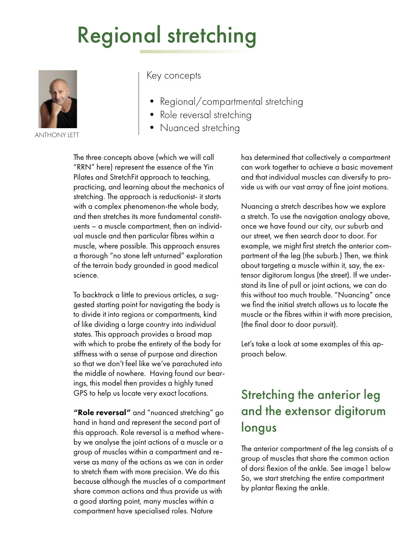# Regional stretching



ANTHONY LETT

#### Key concepts

- Regional/compartmental stretching
- Role reversal stretching
- Nuanced stretching

The three concepts above (which we will call "RRN" here) represent the essence of the Yin Pilates and StretchFit approach to teaching, practicing, and learning about the mechanics of stretching. The approach is reductionist- it starts with a complex phenomenon-the whole body, and then stretches its more fundamental constituents – a muscle compartment, then an individual muscle and then particular fibres within a muscle, where possible. This approach ensures a thorough "no stone left unturned" exploration of the terrain body grounded in good medical science.

To backtrack a little to previous articles, a suggested starting point for navigating the body is to divide it into regions or compartments, kind of like dividing a large country into individual states. This approach provides a broad map with which to probe the entirety of the body for stiffness with a sense of purpose and direction so that we don't feel like we've parachuted into the middle of nowhere. Having found our bearings, this model then provides a highly tuned GPS to help us locate very exact locations.

"Role reversal" and "nuanced stretching" go hand in hand and represent the second part of this approach. Role reversal is a method whereby we analyse the joint actions of a muscle or a group of muscles within a compartment and reverse as many of the actions as we can in order to stretch them with more precision. We do this because although the muscles of a compartment share common actions and thus provide us with a good starting point, many muscles within a compartment have specialised roles. Nature

has determined that collectively a compartment can work together to achieve a basic movement and that individual muscles can diversify to provide us with our vast array of fine joint motions.

Nuancing a stretch describes how we explore a stretch. To use the navigation analogy above, once we have found our city, our suburb and our street, we then search door to door. For example, we might first stretch the anterior compartment of the leg (the suburb.) Then, we think about targeting a muscle within it, say, the extensor digitorum longus (the street). If we understand its line of pull or joint actions, we can do this without too much trouble. "Nuancing" once we find the initial stretch allows us to locate the muscle or the fibres within it with more precision, (the final door to door pursuit).

Let's take a look at some examples of this approach below.

#### Stretching the anterior leg and the extensor digitorum longus

The anterior compartment of the leg consists of a group of muscles that share the common action of dorsi flexion of the ankle. See image1 below So, we start stretching the entire compartment by plantar flexing the ankle.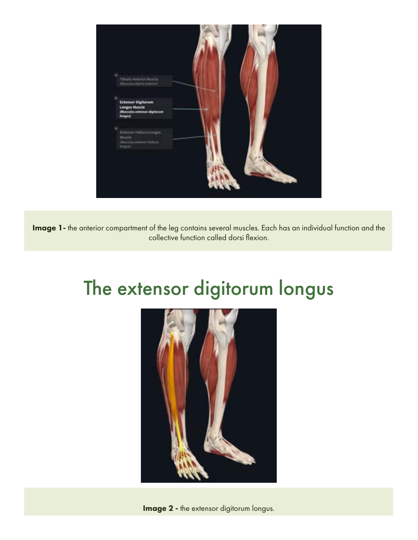

Image 1- the anterior compartment of the leg contains several muscles. Each has an individual function and the collective function called dorsi flexion.

### The extensor digitorum longus



**Image 2 - the extensor digitorum longus.**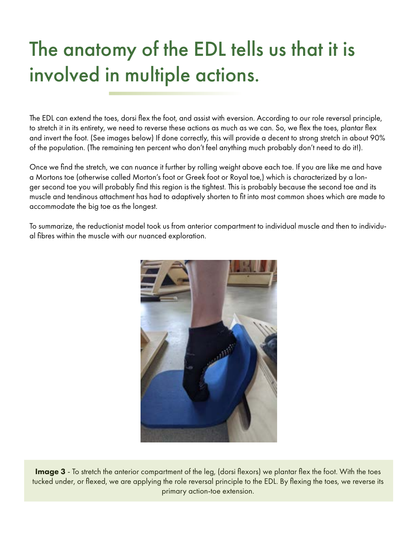## The anatomy of the EDL tells us that it is involved in multiple actions.

The EDL can extend the toes, dorsi flex the foot, and assist with eversion. According to our role reversal principle, to stretch it in its entirety, we need to reverse these actions as much as we can. So, we flex the toes, plantar flex and invert the foot. (See images below) If done correctly, this will provide a decent to strong stretch in about 90% of the population. (The remaining ten percent who don't feel anything much probably don't need to do it!).

Once we find the stretch, we can nuance it further by rolling weight above each toe. If you are like me and have a Mortons toe (otherwise called Morton's foot or Greek foot or Royal toe,) which is characterized by a longer second toe you will probably find this region is the tightest. This is probably because the second toe and its muscle and tendinous attachment has had to adaptively shorten to fit into most common shoes which are made to accommodate the big toe as the longest.

To summarize, the reductionist model took us from anterior compartment to individual muscle and then to individual fibres within the muscle with our nuanced exploration.



Image 3 - To stretch the anterior compartment of the leg, (dorsi flexors) we plantar flex the foot. With the toes tucked under, or flexed, we are applying the role reversal principle to the EDL. By flexing the toes, we reverse its primary action-toe extension.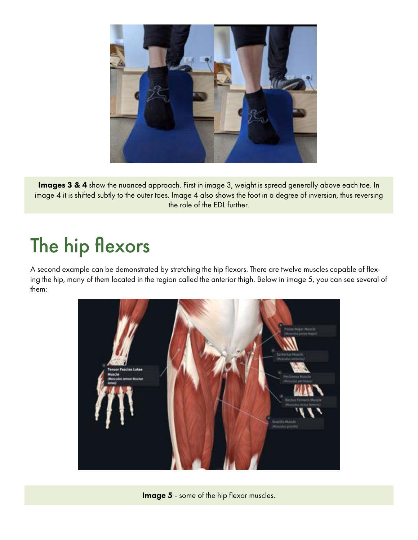

Images 3 & 4 show the nuanced approach. First in image 3, weight is spread generally above each toe. In image 4 it is shifted subtly to the outer toes. Image 4 also shows the foot in a degree of inversion, thus reversing the role of the EDL further.

### The hip flexors

A second example can be demonstrated by stretching the hip flexors. There are twelve muscles capable of flexing the hip, many of them located in the region called the anterior thigh. Below in image 5, you can see several of them:



Image 5 - some of the hip flexor muscles.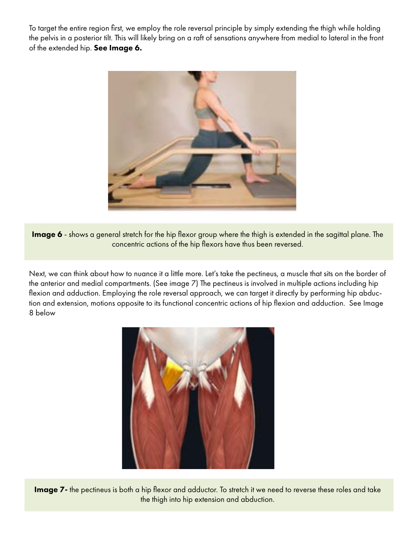To target the entire region first, we employ the role reversal principle by simply extending the thigh while holding the pelvis in a posterior tilt. This will likely bring on a raft of sensations anywhere from medial to lateral in the front of the extended hip. See Image 6.



Image 6 - shows a general stretch for the hip flexor group where the thigh is extended in the sagittal plane. The concentric actions of the hip flexors have thus been reversed.

Next, we can think about how to nuance it a little more. Let's take the pectineus, a muscle that sits on the border of the anterior and medial compartments. (See image 7) The pectineus is involved in multiple actions including hip flexion and adduction. Employing the role reversal approach, we can target it directly by performing hip abduction and extension, motions opposite to its functional concentric actions of hip flexion and adduction. See Image 8 below



Image 7- the pectineus is both a hip flexor and adductor. To stretch it we need to reverse these roles and take the thigh into hip extension and abduction.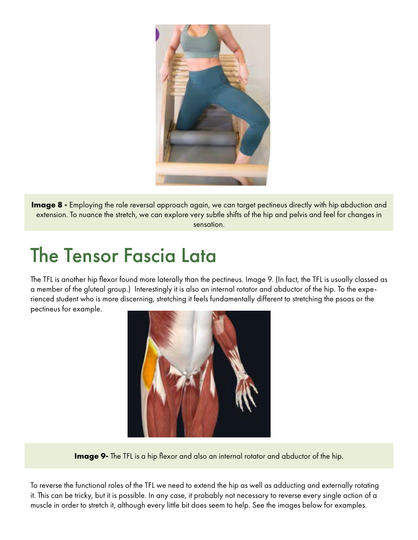

**Image 8 -** Employing the role reversal approach again, we can target pectineus directly with hip abduction and extension. To nuance the stretch, we can explore very subtle shifts of the hip and pelvis and feel for changes in sensation.

#### The Tensor Fascia Lata

The TFL is another hip flexor found more laterally than the pectineus. Image 9. (In fact, the TFL is usually classed as a member of the gluteal group.) Interestingly it is also an internal rotator and abductor of the hip. To the experienced student who is more discerning, stretching it feels fundamentally different to stretching the psoas or the pectineus for example.



**Image 9-** The TFL is a hip flexor and also an internal rotator and abductor of the hip.

To reverse the functional roles of the TFL we need to extend the hip as well as adducting and externally rotating it. This can be tricky, but it is possible. In any case, it probably not necessary to reverse every single action of a muscle in order to stretch it, although every little bit does seem to help. See the images below for examples.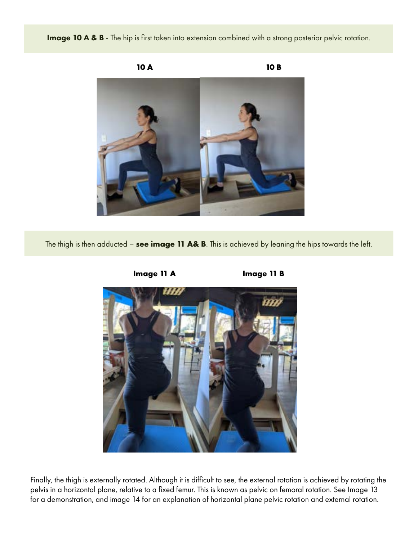Image 10 A & B - The hip is first taken into extension combined with a strong posterior pelvic rotation.



The thigh is then adducted – **see image 11 A& B**. This is achieved by leaning the hips towards the left.



Finally, the thigh is externally rotated. Although it is difficult to see, the external rotation is achieved by rotating the pelvis in a horizontal plane, relative to a fixed femur. This is known as pelvic on femoral rotation. See Image 13 for a demonstration, and image 14 for an explanation of horizontal plane pelvic rotation and external rotation.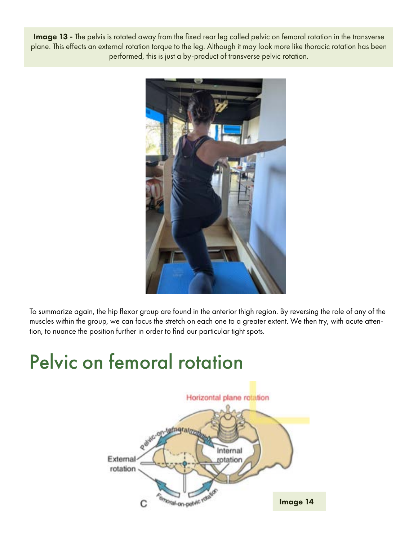Image 13 - The pelvis is rotated away from the fixed rear leg called pelvic on femoral rotation in the transverse plane. This effects an external rotation torque to the leg. Although it may look more like thoracic rotation has been performed, this is just a by-product of transverse pelvic rotation.



To summarize again, the hip flexor group are found in the anterior thigh region. By reversing the role of any of the muscles within the group, we can focus the stretch on each one to a greater extent. We then try, with acute attention, to nuance the position further in order to find our particular tight spots.

### Pelvic on femoral rotation